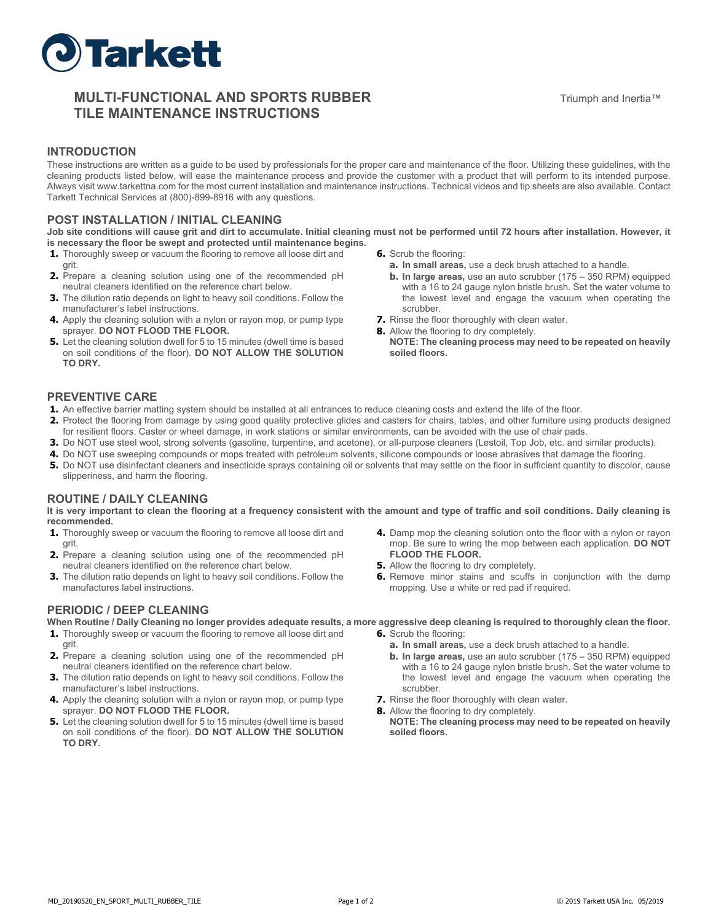

# **MULTI-FUNCTIONAL AND SPORTS RUBBER TILE MAINTENANCE INSTRUCTIONS**

### **INTRODUCTION**

These instructions are written as a guide to be used by professionals for the proper care and maintenance of the floor. Utilizing these guidelines, with the cleaning products listed below, will ease the maintenance process and provide the customer with a product that will perform to its intended purpose. Always visit www.tarkettna.com for the most current installation and maintenance instructions. Technical videos and tip sheets are also available. Contact Tarkett Technical Services at (800)-899-8916 with any questions.

### **POST INSTALLATION / INITIAL CLEANING**

**Job site conditions will cause grit and dirt to accumulate. Initial cleaning must not be performed until 72 hours after installation. However, it is necessary the floor be swept and protected until maintenance begins.** 

- **1.** Thoroughly sweep or vacuum the flooring to remove all loose dirt and grit.
- **2.** Prepare a cleaning solution using one of the recommended pH neutral cleaners identified on the reference chart below.
- **3.** The dilution ratio depends on light to heavy soil conditions. Follow the manufacturer's label instructions.
- **4.** Apply the cleaning solution with a nylon or rayon mop, or pump type sprayer. **DO NOT FLOOD THE FLOOR.**
- **5.** Let the cleaning solution dwell for 5 to 15 minutes (dwell time is based on soil conditions of the floor). **DO NOT ALLOW THE SOLUTION TO DRY.**
- **6.** Scrub the flooring:
	- **a. In small areas,** use a deck brush attached to a handle.
	- **b. In large areas,** use an auto scrubber (175 350 RPM) equipped with a 16 to 24 gauge nylon bristle brush. Set the water volume to the lowest level and engage the vacuum when operating the scrubber.
- **7.** Rinse the floor thoroughly with clean water.
- **8.** Allow the flooring to dry completely.
	- **NOTE: The cleaning process may need to be repeated on heavily soiled floors.**

# **PREVENTIVE CARE**

- **1.** An effective barrier matting system should be installed at all entrances to reduce cleaning costs and extend the life of the floor.
- **2.** Protect the flooring from damage by using good quality protective glides and casters for chairs, tables, and other furniture using products designed for resilient floors. Caster or wheel damage, in work stations or similar environments, can be avoided with the use of chair pads.
- **3.** Do NOT use steel wool, strong solvents (gasoline, turpentine, and acetone), or all-purpose cleaners (Lestoil, Top Job, etc. and similar products).
- **4.** Do NOT use sweeping compounds or mops treated with petroleum solvents, silicone compounds or loose abrasives that damage the flooring.
- **5.** Do NOT use disinfectant cleaners and insecticide sprays containing oil or solvents that may settle on the floor in sufficient quantity to discolor, cause slipperiness, and harm the flooring.

# **ROUTINE / DAILY CLEANING**

**It is very important to clean the flooring at a frequency consistent with the amount and type of traffic and soil conditions. Daily cleaning is recommended.** 

- **1.** Thoroughly sweep or vacuum the flooring to remove all loose dirt and grit.
- **2.** Prepare a cleaning solution using one of the recommended pH neutral cleaners identified on the reference chart below.
- **3.** The dilution ratio depends on light to heavy soil conditions. Follow the manufactures label instructions.

# **PERIODIC / DEEP CLEANING**

**When Routine / Daily Cleaning no longer provides adequate results, a more aggressive deep cleaning is required to thoroughly clean the floor.** 

- **1.** Thoroughly sweep or vacuum the flooring to remove all loose dirt and grit.
- **2.** Prepare a cleaning solution using one of the recommended pH neutral cleaners identified on the reference chart below.
- **3.** The dilution ratio depends on light to heavy soil conditions. Follow the manufacturer's label instructions.
- **4.** Apply the cleaning solution with a nylon or rayon mop, or pump type sprayer. **DO NOT FLOOD THE FLOOR.**
- **5.** Let the cleaning solution dwell for 5 to 15 minutes (dwell time is based on soil conditions of the floor). **DO NOT ALLOW THE SOLUTION TO DRY.**
- **4.** Damp mop the cleaning solution onto the floor with a nylon or rayon mop. Be sure to wring the mop between each application. **DO NOT FLOOD THE FLOOR.**
- **5.** Allow the flooring to dry completely.
- **6.** Remove minor stains and scuffs in conjunction with the damp mopping. Use a white or red pad if required.

**6.** Scrub the flooring:

**soiled floors.** 

- **a. In small areas,** use a deck brush attached to a handle.
- **b. In large areas,** use an auto scrubber (175 350 RPM) equipped with a 16 to 24 gauge nylon bristle brush. Set the water volume to the lowest level and engage the vacuum when operating the scrubber.
- **7.** Rinse the floor thoroughly with clean water.
- **8.** Allow the flooring to dry completely. **NOTE: The cleaning process may need to be repeated on heavily**